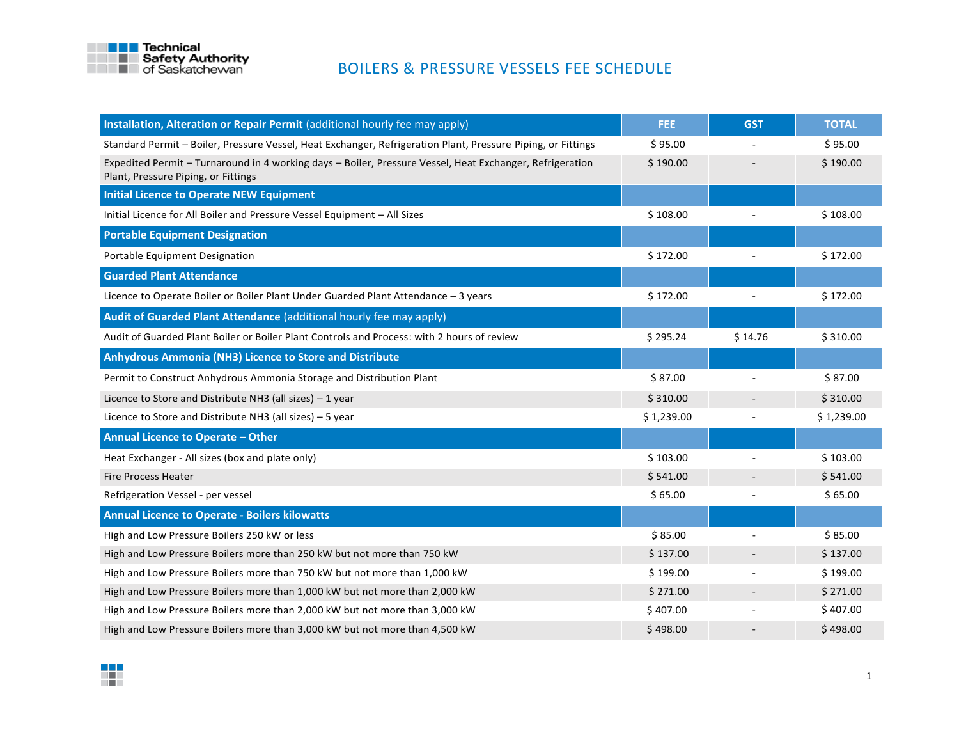

| Installation, Alteration or Repair Permit (additional hourly fee may apply)                                                                     | FEE.       | <b>GST</b>               | <b>TOTAL</b> |
|-------------------------------------------------------------------------------------------------------------------------------------------------|------------|--------------------------|--------------|
| Standard Permit – Boiler, Pressure Vessel, Heat Exchanger, Refrigeration Plant, Pressure Piping, or Fittings                                    | \$95.00    |                          | \$95.00      |
| Expedited Permit - Turnaround in 4 working days - Boiler, Pressure Vessel, Heat Exchanger, Refrigeration<br>Plant, Pressure Piping, or Fittings | \$190.00   |                          | \$190.00     |
| <b>Initial Licence to Operate NEW Equipment</b>                                                                                                 |            |                          |              |
| Initial Licence for All Boiler and Pressure Vessel Equipment - All Sizes                                                                        | \$108.00   |                          | \$108.00     |
| <b>Portable Equipment Designation</b>                                                                                                           |            |                          |              |
| Portable Equipment Designation                                                                                                                  | \$172.00   |                          | \$172.00     |
| <b>Guarded Plant Attendance</b>                                                                                                                 |            |                          |              |
| Licence to Operate Boiler or Boiler Plant Under Guarded Plant Attendance - 3 years                                                              | \$172.00   |                          | \$172.00     |
| Audit of Guarded Plant Attendance (additional hourly fee may apply)                                                                             |            |                          |              |
| Audit of Guarded Plant Boiler or Boiler Plant Controls and Process: with 2 hours of review                                                      | \$295.24   | \$14.76                  | \$310.00     |
| Anhydrous Ammonia (NH3) Licence to Store and Distribute                                                                                         |            |                          |              |
| Permit to Construct Anhydrous Ammonia Storage and Distribution Plant                                                                            | \$87.00    |                          | \$87.00      |
| Licence to Store and Distribute NH3 (all sizes) $-1$ year                                                                                       | \$310.00   | $\overline{\phantom{a}}$ | \$310.00     |
| Licence to Store and Distribute NH3 (all sizes) $-5$ year                                                                                       | \$1,239.00 | $\overline{a}$           | \$1,239.00   |
| Annual Licence to Operate - Other                                                                                                               |            |                          |              |
| Heat Exchanger - All sizes (box and plate only)                                                                                                 | \$103.00   |                          | \$103.00     |
| <b>Fire Process Heater</b>                                                                                                                      | \$541.00   |                          | \$541.00     |
| Refrigeration Vessel - per vessel                                                                                                               | \$65.00    | $\overline{\phantom{a}}$ | \$65.00      |
| <b>Annual Licence to Operate - Boilers kilowatts</b>                                                                                            |            |                          |              |
| High and Low Pressure Boilers 250 kW or less                                                                                                    | \$85.00    |                          | \$85.00      |
| High and Low Pressure Boilers more than 250 kW but not more than 750 kW                                                                         | \$137.00   |                          | \$137.00     |
| High and Low Pressure Boilers more than 750 kW but not more than 1,000 kW                                                                       | \$199.00   |                          | \$199.00     |
| High and Low Pressure Boilers more than 1,000 kW but not more than 2,000 kW                                                                     | \$271.00   | $\overline{\phantom{a}}$ | \$271.00     |
| High and Low Pressure Boilers more than 2,000 kW but not more than 3,000 kW                                                                     | \$407.00   |                          | \$407.00     |
| High and Low Pressure Boilers more than 3,000 kW but not more than 4,500 kW                                                                     | \$498.00   |                          | \$498.00     |

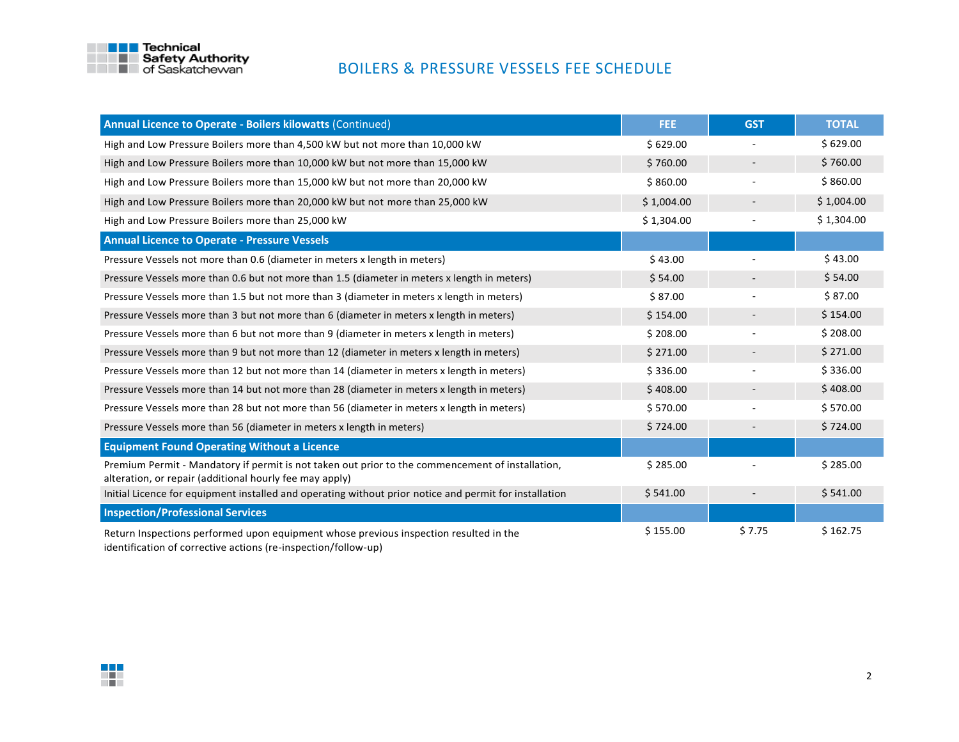

| <b>Annual Licence to Operate - Boilers kilowatts (Continued)</b>                                                                                            | FEE.       | <b>GST</b> | <b>TOTAL</b> |
|-------------------------------------------------------------------------------------------------------------------------------------------------------------|------------|------------|--------------|
| High and Low Pressure Boilers more than 4,500 kW but not more than 10,000 kW                                                                                | \$629.00   |            | \$629.00     |
| High and Low Pressure Boilers more than 10,000 kW but not more than 15,000 kW                                                                               | \$760.00   |            | \$760.00     |
| High and Low Pressure Boilers more than 15,000 kW but not more than 20,000 kW                                                                               | \$860.00   |            | \$860.00     |
| High and Low Pressure Boilers more than 20,000 kW but not more than 25,000 kW                                                                               | \$1,004.00 |            | \$1,004.00   |
| High and Low Pressure Boilers more than 25,000 kW                                                                                                           | \$1,304.00 |            | \$1,304.00   |
| <b>Annual Licence to Operate - Pressure Vessels</b>                                                                                                         |            |            |              |
| Pressure Vessels not more than 0.6 (diameter in meters x length in meters)                                                                                  | \$43.00    |            | \$43.00      |
| Pressure Vessels more than 0.6 but not more than 1.5 (diameter in meters x length in meters)                                                                | \$54.00    |            | \$54.00      |
| Pressure Vessels more than 1.5 but not more than 3 (diameter in meters x length in meters)                                                                  | \$87.00    |            | \$87.00      |
| Pressure Vessels more than 3 but not more than 6 (diameter in meters x length in meters)                                                                    | \$154.00   |            | \$154.00     |
| Pressure Vessels more than 6 but not more than 9 (diameter in meters x length in meters)                                                                    | \$208.00   |            | \$208.00     |
| Pressure Vessels more than 9 but not more than 12 (diameter in meters x length in meters)                                                                   | \$271.00   |            | \$271.00     |
| Pressure Vessels more than 12 but not more than 14 (diameter in meters x length in meters)                                                                  | \$336.00   |            | \$336.00     |
| Pressure Vessels more than 14 but not more than 28 (diameter in meters x length in meters)                                                                  | \$408.00   |            | \$408.00     |
| Pressure Vessels more than 28 but not more than 56 (diameter in meters x length in meters)                                                                  | \$570.00   |            | \$570.00     |
| Pressure Vessels more than 56 (diameter in meters x length in meters)                                                                                       | \$724.00   |            | \$724.00     |
| <b>Equipment Found Operating Without a Licence</b>                                                                                                          |            |            |              |
| Premium Permit - Mandatory if permit is not taken out prior to the commencement of installation,<br>alteration, or repair (additional hourly fee may apply) | \$285.00   |            | \$285.00     |
| Initial Licence for equipment installed and operating without prior notice and permit for installation                                                      | \$541.00   |            | \$541.00     |
| <b>Inspection/Professional Services</b>                                                                                                                     |            |            |              |
| Return Inspections performed upon equipment whose previous inspection resulted in the<br>identification of corrective actions (re-inspection/follow-up)     | \$155.00   | \$7.75     | \$162.75     |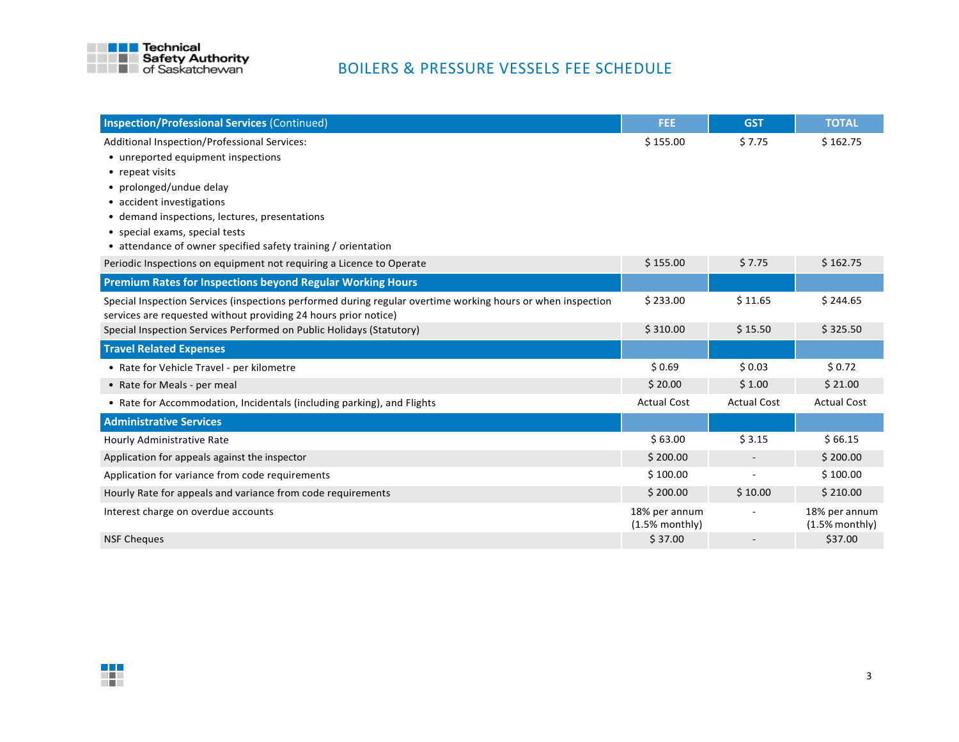

| <b>Inspection/Professional Services (Continued)</b>                                                         | <b>FEE</b>                        | <b>GST</b>               | <b>TOTAL</b>                      |
|-------------------------------------------------------------------------------------------------------------|-----------------------------------|--------------------------|-----------------------------------|
| Additional Inspection/Professional Services:                                                                | \$155.00                          | \$7.75                   | \$162.75                          |
| • unreported equipment inspections                                                                          |                                   |                          |                                   |
| • repeat visits                                                                                             |                                   |                          |                                   |
| • prolonged/undue delay                                                                                     |                                   |                          |                                   |
| • accident investigations                                                                                   |                                   |                          |                                   |
| • demand inspections, lectures, presentations                                                               |                                   |                          |                                   |
| • special exams, special tests                                                                              |                                   |                          |                                   |
| • attendance of owner specified safety training / orientation                                               |                                   |                          |                                   |
| Periodic Inspections on equipment not requiring a Licence to Operate                                        | \$155.00                          | \$7.75                   | \$162.75                          |
| <b>Premium Rates for Inspections beyond Regular Working Hours</b>                                           |                                   |                          |                                   |
| Special Inspection Services (inspections performed during regular overtime working hours or when inspection | \$233.00                          | \$11.65                  | \$244.65                          |
| services are requested without providing 24 hours prior notice)                                             |                                   |                          |                                   |
| Special Inspection Services Performed on Public Holidays (Statutory)                                        | \$310.00                          | \$15.50                  | \$325.50                          |
| <b>Travel Related Expenses</b>                                                                              |                                   |                          |                                   |
| • Rate for Vehicle Travel - per kilometre                                                                   | \$0.69                            | \$0.03                   | \$0.72                            |
| • Rate for Meals - per meal                                                                                 | \$20.00                           | \$1.00                   | \$21.00                           |
| • Rate for Accommodation, Incidentals (including parking), and Flights                                      | <b>Actual Cost</b>                | <b>Actual Cost</b>       | <b>Actual Cost</b>                |
| <b>Administrative Services</b>                                                                              |                                   |                          |                                   |
| Hourly Administrative Rate                                                                                  | \$63.00                           | \$3.15                   | \$66.15                           |
| Application for appeals against the inspector                                                               | \$200.00                          | $\overline{\phantom{a}}$ | \$200.00                          |
| Application for variance from code requirements                                                             | \$100.00                          |                          | \$100.00                          |
| Hourly Rate for appeals and variance from code requirements                                                 | \$200.00                          | \$10.00                  | \$210.00                          |
| Interest charge on overdue accounts                                                                         | 18% per annum<br>$(1.5%$ monthly) |                          | 18% per annum<br>$(1.5%$ monthly) |
| <b>NSF Cheques</b>                                                                                          | \$37.00                           |                          | \$37.00                           |